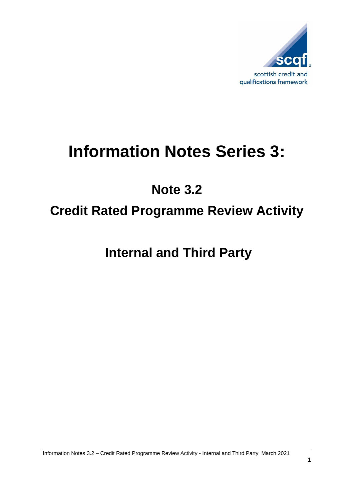

# **Information Notes Series 3:**

# **Note 3.2**

## **Credit Rated Programme Review Activity**

**Internal and Third Party**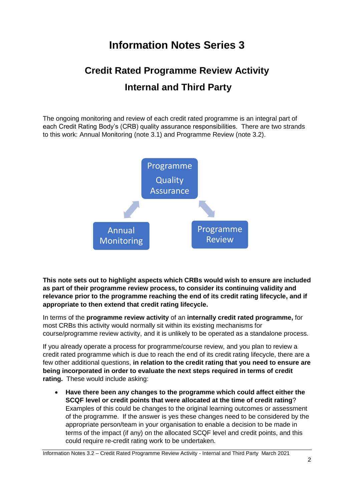### **Information Notes Series 3**

### **Credit Rated Programme Review Activity Internal and Third Party**

The ongoing monitoring and review of each credit rated programme is an integral part of each Credit Rating Body's (CRB) quality assurance responsibilities. There are two strands to this work: Annual Monitoring (note 3.1) and Programme Review (note 3.2).



**This note sets out to highlight aspects which CRBs would wish to ensure are included as part of their programme review process, to consider its continuing validity and relevance prior to the programme reaching the end of its credit rating lifecycle, and if appropriate to then extend that credit rating lifecycle.**

In terms of the **programme review activity** of an **internally credit rated programme,** for most CRBs this activity would normally sit within its existing mechanisms for course/programme review activity, and it is unlikely to be operated as a standalone process.

If you already operate a process for programme/course review, and you plan to review a credit rated programme which is due to reach the end of its credit rating lifecycle, there are a few other additional questions, **in relation to the credit rating that you need to ensure are being incorporated in order to evaluate the next steps required in terms of credit rating.** These would include asking:

 **Have there been any changes to the programme which could affect either the SCQF level or credit points that were allocated at the time of credit rating**? Examples of this could be changes to the original learning outcomes or assessment of the programme. If the answer is yes these changes need to be considered by the appropriate person/team in your organisation to enable a decision to be made in terms of the impact (if any) on the allocated SCQF level and credit points, and this could require re-credit rating work to be undertaken.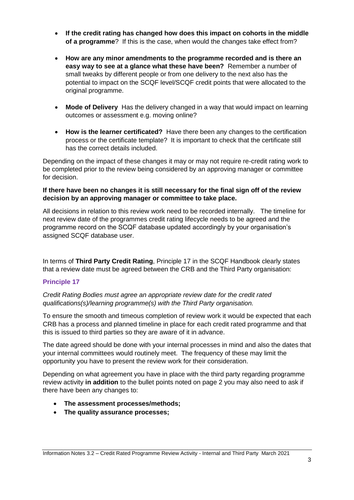- **If the credit rating has changed how does this impact on cohorts in the middle of a programme**? If this is the case, when would the changes take effect from?
- **How are any minor amendments to the programme recorded and is there an easy way to see at a glance what these have been?** Remember a number of small tweaks by different people or from one delivery to the next also has the potential to impact on the SCQF level/SCQF credit points that were allocated to the original programme.
- **Mode of Delivery** Has the delivery changed in a way that would impact on learning outcomes or assessment e.g. moving online?
- **How is the learner certificated?** Have there been any changes to the certification process or the certificate template? It is important to check that the certificate still has the correct details included.

Depending on the impact of these changes it may or may not require re-credit rating work to be completed prior to the review being considered by an approving manager or committee for decision.

#### **If there have been no changes it is still necessary for the final sign off of the review decision by an approving manager or committee to take place.**

All decisions in relation to this review work need to be recorded internally. The timeline for next review date of the programmes credit rating lifecycle needs to be agreed and the programme record on the SCQF database updated accordingly by your organisation's assigned SCQF database user.

In terms of **Third Party Credit Rating**, Principle 17 in the SCQF Handbook clearly states that a review date must be agreed between the CRB and the Third Party organisation:

### **Principle 17**

*Credit Rating Bodies must agree an appropriate review date for the credit rated qualifications(s)/learning programme(s) with the Third Party organisation.*

To ensure the smooth and timeous completion of review work it would be expected that each CRB has a process and planned timeline in place for each credit rated programme and that this is issued to third parties so they are aware of it in advance.

The date agreed should be done with your internal processes in mind and also the dates that your internal committees would routinely meet. The frequency of these may limit the opportunity you have to present the review work for their consideration.

Depending on what agreement you have in place with the third party regarding programme review activity **in addition** to the bullet points noted on page 2 you may also need to ask if there have been any changes to:

- **The assessment processes/methods;**
- **The quality assurance processes;**